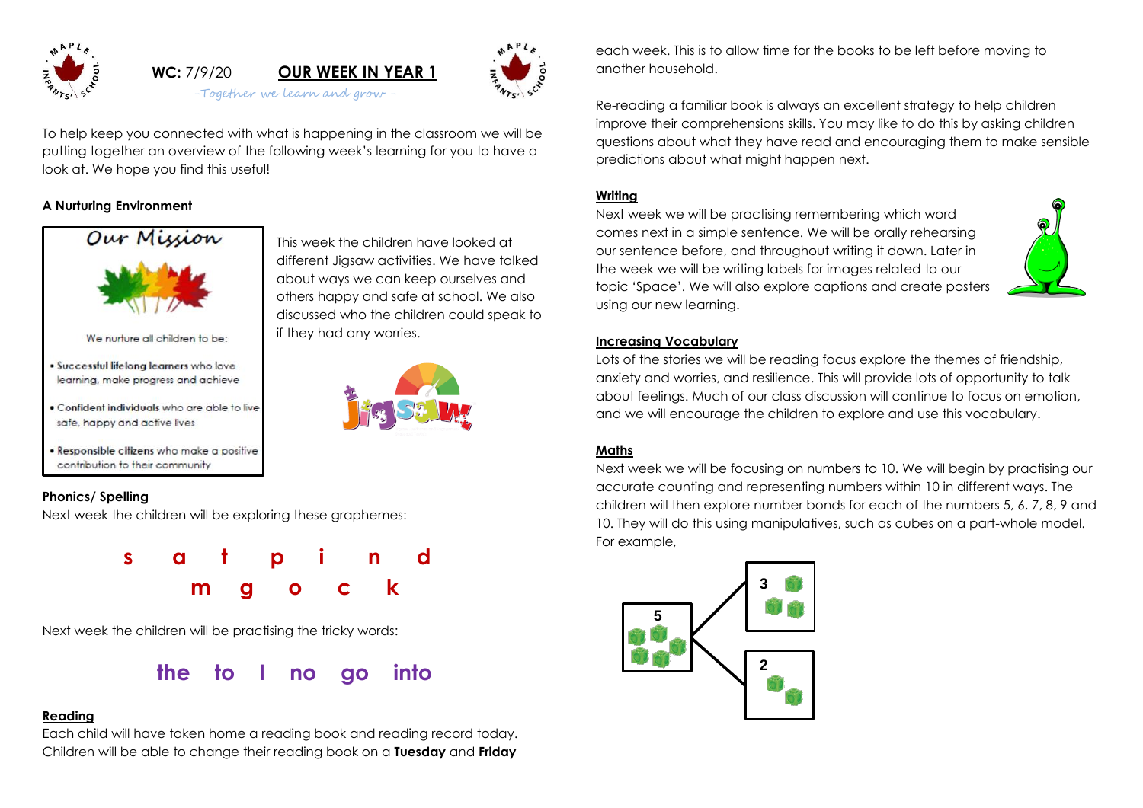

# **WC:** 7/9/20 **OUR WEEK IN YEAR 1** -Together we learn and grow -

This week the children have looked at different Jigsaw activities. We have talked about ways we can keep ourselves and others happy and safe at school. We also discussed who the children could speak to

if they had any worries.



To help keep you connected with what is happening in the classroom we will be putting together an overview of the following week's learning for you to have a look at. We hope you find this useful!

## **A Nurturing Environment**



We nurture all children to be:

- . Successful lifelong learners who love learning, make progress and achieve
- . Confident individuals who are able to live safe, happy and active lives
- . Responsible citizens who make a positive contribution to their community

#### **Phonics/ Spelling**

Next week the children will be exploring these graphemes:



Next week the children will be practising the tricky words:



#### **Reading**

Each child will have taken home a reading book and reading record today. Children will be able to change their reading book on a **Tuesday** and **Friday** each week. This is to allow time for the books to be left before moving to another household.

Re-reading a familiar book is always an excellent strategy to help children improve their comprehensions skills. You may like to do this by asking children questions about what they have read and encouraging them to make sensible predictions about what might happen next.

### **Writing**

Next week we will be practising remembering which word comes next in a simple sentence. We will be orally rehearsing our sentence before, and throughout writing it down. Later in the week we will be writing labels for images related to our topic 'Space'. We will also explore captions and create posters using our new learning.



#### **Increasing Vocabulary**

Lots of the stories we will be reading focus explore the themes of friendship, anxiety and worries, and resilience. This will provide lots of opportunity to talk about feelings. Much of our class discussion will continue to focus on emotion, and we will encourage the children to explore and use this vocabulary.

#### **Maths**

Next week we will be focusing on numbers to 10. We will begin by practising our accurate counting and representing numbers within 10 in different ways. The children will then explore number bonds for each of the numbers 5, 6, 7, 8, 9 and 10. They will do this using manipulatives, such as cubes on a part-whole model. For example,